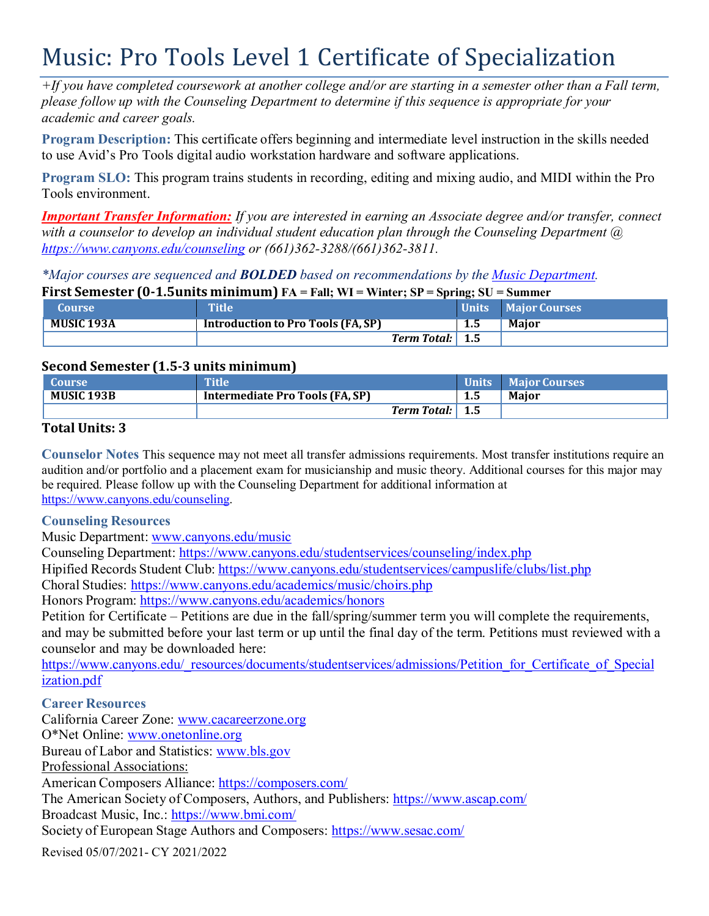# Music: Pro Tools Level 1 Certificate of Specialization

 $+$ If you have completed coursework at another college and/or are starting in a semester other than a Fall term, *please follow up with the Counseling Department to determine if this sequence is appropriate for your academic and career goals.*

**Program Description:** This certificate offers beginning and intermediate level instruction in the skills needed to use Avid's Pro Tools digital audio workstation hardware and software applications.

**Program SLO:** This program trains students in recording, editing and mixing audio, and MIDI within the Pro Tools environment.

*Important Transfer Information: If you are interested in earning an Associate degree and/or transfer, connect with a counselor to develop an individual student education plan through the Counseling Department @ https:/[/www.canyons.edu/counseling](http://www.canyons.edu/counseling) or (661)362-3288/(661)362-3811.*

*\*Major courses are sequenced and BOLDED based on recommendations by the Music Department.*

| First Semester (0-1.5 units minimum) $FA = Fall$ ; WI = Winter; SP = Spring; SU = Summer |                                           |     |                     |  |  |
|------------------------------------------------------------------------------------------|-------------------------------------------|-----|---------------------|--|--|
| <b>Course</b>                                                                            | <b>Title</b>                              |     | Units Major Courses |  |  |
| <b>MUSIC 193A</b>                                                                        | <b>Introduction to Pro Tools (FA, SP)</b> | 1.5 | Maior               |  |  |
|                                                                                          | <b>Term Total:</b> 1.5                    |     |                     |  |  |

# **Second Semester (1.5-3 units minimum)**

| <b>Course</b> | <b>Tille</b>                    |      | Units Major Courses |
|---------------|---------------------------------|------|---------------------|
| MUSIC 193B    | Intermediate Pro Tools (FA, SP) | כ. ב | <b>Maior</b>        |
|               | <b>Term Total:</b>              | 1.5  |                     |

# **Total Units: 3**

**Counselor Notes** This sequence may not meet all transfer admissions requirements. Most transfer institutions require an audition and/or portfolio and a placement exam for musicianship and music theory. Additional courses for this major may be required. Please follow up with the Counseling Department for additional information at https:/[/www.canyons.edu/counseling.](http://www.canyons.edu/counseling)

### **Counseling Resources**

Music Department: [www.canyons.edu/music](http://www.canyons.edu/music)

Counseling Department: https:/[/www.canyons.edu/studentservices/counseling/index.php](http://www.canyons.edu/studentservices/counseling/index.php)

Hipified Records Student Club: https:/[/www.canyons.edu/studentservices/campuslife/clubs/list.php](http://www.canyons.edu/studentservices/campuslife/clubs/list.php)

Choral Studies: https:/[/www.canyons.edu/academics/music/choirs.php](http://www.canyons.edu/academics/music/choirs.php)

Honors Program: https:/[/www.canyons.edu/academics/honors](http://www.canyons.edu/academics/honors)

Petition for Certificate – Petitions are due in the fall/spring/summer term you will complete the requirements, and may be submitted before your last term or up until the final day of the term. Petitions must reviewed with a counselor and may be downloaded here:

http[s://ww](http://www.canyons.edu/_resources/documents/studentservices/admissions/Petition_for_Certificate_of_Special)w[.canyons.edu/\\_resources/documents/studentservices/admissions/Petition\\_for\\_Certificate\\_of\\_Special](http://www.canyons.edu/_resources/documents/studentservices/admissions/Petition_for_Certificate_of_Special) ization.pdf

### **Career Resources**

California Career Zone: [www.cacareerzone.org](http://www.cacareerzone.org/) O\*Net Online: [www.onetonline.org](http://www.onetonline.org/) Bureau of Labor and Statistics: [www.bls.gov](http://www.bls.gov/) Professional Associations: American Composers Alliance: https://composers.com/ The American Society of Composers, Authors, and Publishers: https:/[/www.ascap.com/](http://www.ascap.com/) Broadcast Music, Inc.: http[s://ww](http://www.bmi.com/)w[.bmi.com/](http://www.bmi.com/) Society of European Stage Authors and Composers: http[s://ww](http://www.sesac.com/)w[.sesac.com/](http://www.sesac.com/)